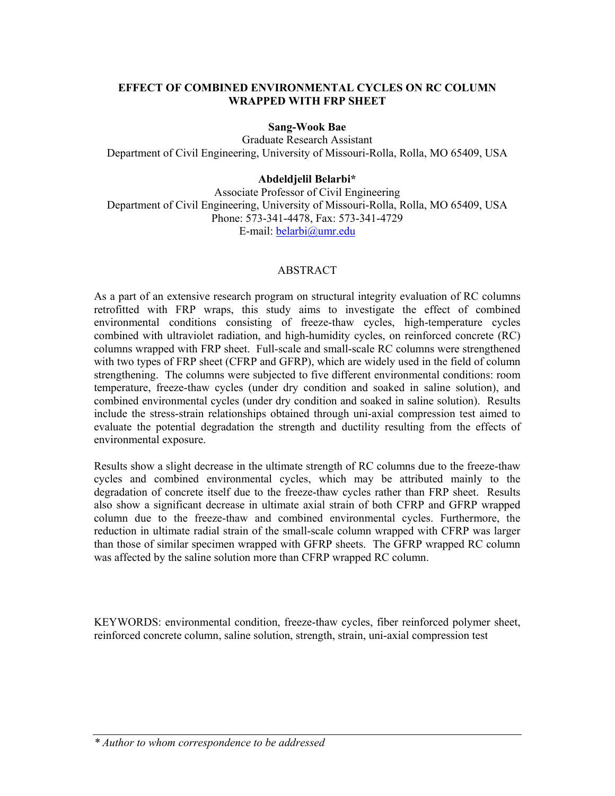#### **EFFECT OF COMBINED ENVIRONMENTAL CYCLES ON RC COLUMN WRAPPED WITH FRP SHEET**

#### **Sang-Wook Bae**

Graduate Research Assistant Department of Civil Engineering, University of Missouri-Rolla, Rolla, MO 65409, USA

#### **Abdeldjelil Belarbi\***

Associate Professor of Civil Engineering Department of Civil Engineering, University of Missouri-Rolla, Rolla, MO 65409, USA Phone: 573-341-4478, Fax: 573-341-4729 E-mail: belarbi@umr.edu

#### ABSTRACT

As a part of an extensive research program on structural integrity evaluation of RC columns retrofitted with FRP wraps, this study aims to investigate the effect of combined environmental conditions consisting of freeze-thaw cycles, high-temperature cycles combined with ultraviolet radiation, and high-humidity cycles, on reinforced concrete (RC) columns wrapped with FRP sheet. Full-scale and small-scale RC columns were strengthened with two types of FRP sheet (CFRP and GFRP), which are widely used in the field of column strengthening. The columns were subjected to five different environmental conditions: room temperature, freeze-thaw cycles (under dry condition and soaked in saline solution), and combined environmental cycles (under dry condition and soaked in saline solution). Results include the stress-strain relationships obtained through uni-axial compression test aimed to evaluate the potential degradation the strength and ductility resulting from the effects of environmental exposure.

Results show a slight decrease in the ultimate strength of RC columns due to the freeze-thaw cycles and combined environmental cycles, which may be attributed mainly to the degradation of concrete itself due to the freeze-thaw cycles rather than FRP sheet. Results also show a significant decrease in ultimate axial strain of both CFRP and GFRP wrapped column due to the freeze-thaw and combined environmental cycles. Furthermore, the reduction in ultimate radial strain of the small-scale column wrapped with CFRP was larger than those of similar specimen wrapped with GFRP sheets. The GFRP wrapped RC column was affected by the saline solution more than CFRP wrapped RC column.

KEYWORDS: environmental condition, freeze-thaw cycles, fiber reinforced polymer sheet, reinforced concrete column, saline solution, strength, strain, uni-axial compression test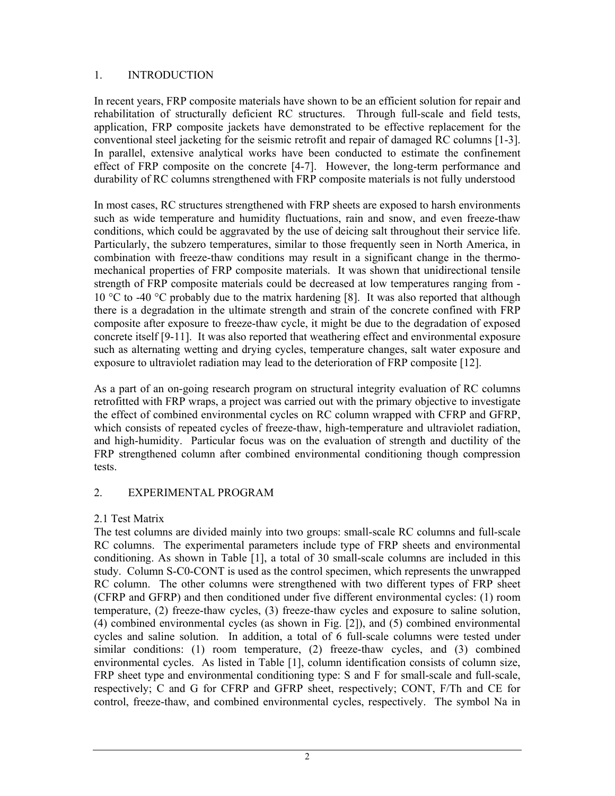## 1. INTRODUCTION

In recent years, FRP composite materials have shown to be an efficient solution for repair and rehabilitation of structurally deficient RC structures. Through full-scale and field tests, application, FRP composite jackets have demonstrated to be effective replacement for the conventional steel jacketing for the seismic retrofit and repair of damaged RC columns [1-3]. In parallel, extensive analytical works have been conducted to estimate the confinement effect of FRP composite on the concrete [4-7]. However, the long-term performance and durability of RC columns strengthened with FRP composite materials is not fully understood

In most cases, RC structures strengthened with FRP sheets are exposed to harsh environments such as wide temperature and humidity fluctuations, rain and snow, and even freeze-thaw conditions, which could be aggravated by the use of deicing salt throughout their service life. Particularly, the subzero temperatures, similar to those frequently seen in North America, in combination with freeze-thaw conditions may result in a significant change in the thermomechanical properties of FRP composite materials. It was shown that unidirectional tensile strength of FRP composite materials could be decreased at low temperatures ranging from - 10 °C to -40 °C probably due to the matrix hardening [8]. It was also reported that although there is a degradation in the ultimate strength and strain of the concrete confined with FRP composite after exposure to freeze-thaw cycle, it might be due to the degradation of exposed concrete itself [9-11]. It was also reported that weathering effect and environmental exposure such as alternating wetting and drying cycles, temperature changes, salt water exposure and exposure to ultraviolet radiation may lead to the deterioration of FRP composite [12].

As a part of an on-going research program on structural integrity evaluation of RC columns retrofitted with FRP wraps, a project was carried out with the primary objective to investigate the effect of combined environmental cycles on RC column wrapped with CFRP and GFRP, which consists of repeated cycles of freeze-thaw, high-temperature and ultraviolet radiation, and high-humidity. Particular focus was on the evaluation of strength and ductility of the FRP strengthened column after combined environmental conditioning though compression tests.

## 2. EXPERIMENTAL PROGRAM

## 2.1 Test Matrix

The test columns are divided mainly into two groups: small-scale RC columns and full-scale RC columns. The experimental parameters include type of FRP sheets and environmental conditioning. As shown in Table [1], a total of 30 small-scale columns are included in this study. Column S-C0-CONT is used as the control specimen, which represents the unwrapped RC column. The other columns were strengthened with two different types of FRP sheet (CFRP and GFRP) and then conditioned under five different environmental cycles: (1) room temperature, (2) freeze-thaw cycles, (3) freeze-thaw cycles and exposure to saline solution, (4) combined environmental cycles (as shown in Fig. [2]), and (5) combined environmental cycles and saline solution. In addition, a total of 6 full-scale columns were tested under similar conditions: (1) room temperature, (2) freeze-thaw cycles, and (3) combined environmental cycles. As listed in Table [1], column identification consists of column size, FRP sheet type and environmental conditioning type: S and F for small-scale and full-scale, respectively; C and G for CFRP and GFRP sheet, respectively; CONT, F/Th and CE for control, freeze-thaw, and combined environmental cycles, respectively. The symbol Na in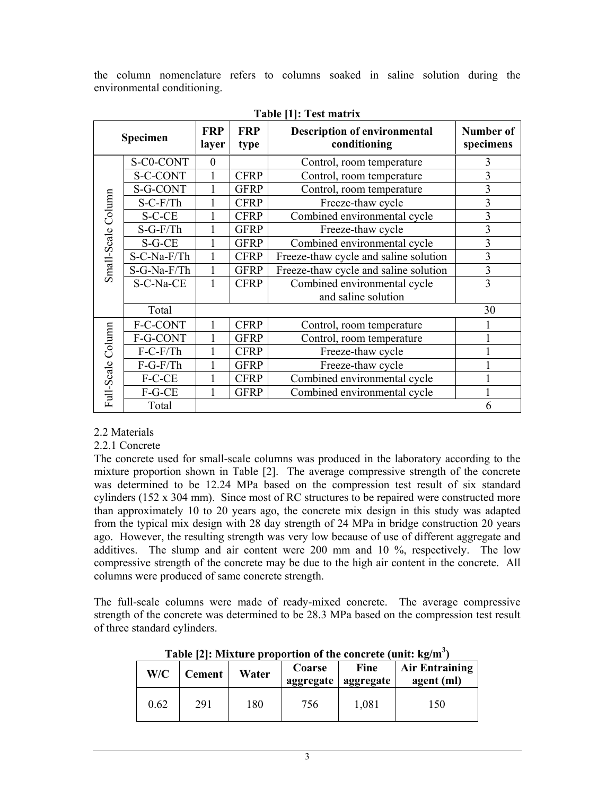the column nomenclature refers to columns soaked in saline solution during the environmental conditioning.

|                    |                 |                     |                    | $1400 \leftarrow 1100 \leftarrow 1000$              |                        |
|--------------------|-----------------|---------------------|--------------------|-----------------------------------------------------|------------------------|
|                    | Specimen        | <b>FRP</b><br>layer | <b>FRP</b><br>type | <b>Description of environmental</b><br>conditioning | Number of<br>specimens |
|                    | S-C0-CONT       | $\theta$            |                    | Control, room temperature                           | 3                      |
|                    | <b>S-C-CONT</b> |                     | <b>CFRP</b>        | Control, room temperature                           | 3                      |
|                    | S-G-CONT        |                     | <b>GFRP</b>        | Control, room temperature                           | 3                      |
| Small-Scale Column | $S-C-F/Th$      |                     | <b>CFRP</b>        | Freeze-thaw cycle                                   | 3                      |
|                    | S-C-CE          |                     | <b>CFRP</b>        | Combined environmental cycle                        | 3                      |
|                    | $S-G-F/Th$      |                     | <b>GFRP</b>        | Freeze-thaw cycle                                   | $\overline{3}$         |
|                    | $S-G-CE$        |                     | <b>GFRP</b>        | Combined environmental cycle                        | 3                      |
|                    | S-C-Na-F/Th     |                     | <b>CFRP</b>        | 3<br>Freeze-thaw cycle and saline solution          |                        |
|                    | S-G-Na-F/Th     | $\mathbf{1}$        | <b>GFRP</b>        | Freeze-thaw cycle and saline solution               |                        |
|                    | S-C-Na-CE       | 1                   | <b>CFRP</b>        | Combined environmental cycle<br>3                   |                        |
|                    |                 |                     |                    | and saline solution                                 |                        |
|                    | Total           |                     |                    |                                                     | 30                     |
|                    | F-C-CONT        | 1                   | <b>CFRP</b>        | Control, room temperature                           |                        |
|                    | F-G-CONT        |                     | <b>GFRP</b>        | Control, room temperature                           |                        |
|                    | $F-C-F/Th$      |                     | <b>CFRP</b>        | Freeze-thaw cycle                                   |                        |
|                    | $F-G-F/Th$      |                     | <b>GFRP</b>        | Freeze-thaw cycle                                   |                        |
|                    | F-C-CE          | 1                   | <b>CFRP</b>        | Combined environmental cycle                        |                        |
| Full-Scale Column  | F-G-CE          |                     | <b>GFRP</b>        | Combined environmental cycle                        |                        |
|                    | Total           |                     |                    |                                                     | 6                      |

#### **Table [1]: Test matrix**

## 2.2 Materials

#### 2.2.1 Concrete

The concrete used for small-scale columns was produced in the laboratory according to the mixture proportion shown in Table [2]. The average compressive strength of the concrete was determined to be 12.24 MPa based on the compression test result of six standard cylinders (152 x 304 mm). Since most of RC structures to be repaired were constructed more than approximately 10 to 20 years ago, the concrete mix design in this study was adapted from the typical mix design with 28 day strength of 24 MPa in bridge construction 20 years ago. However, the resulting strength was very low because of use of different aggregate and additives. The slump and air content were 200 mm and 10 %, respectively. The low compressive strength of the concrete may be due to the high air content in the concrete. All columns were produced of same concrete strength.

The full-scale columns were made of ready-mixed concrete. The average compressive strength of the concrete was determined to be 28.3 MPa based on the compression test result of three standard cylinders.

|      |        |       |                     | Table [2]: Mixture proportion of the concrete (unit: $kg/m3$ ) |                                     |
|------|--------|-------|---------------------|----------------------------------------------------------------|-------------------------------------|
| W/C  | Cement | Water | Coarse<br>aggregate | <b>Fine</b><br>aggregate                                       | <b>Air Entraining</b><br>agent (ml) |
| 0.62 | 291    | 180   | 756                 | 1,081                                                          | 150                                 |

**Table [2]: Mixture proportion of the concrete (unit: kg/m<sup>3</sup> )**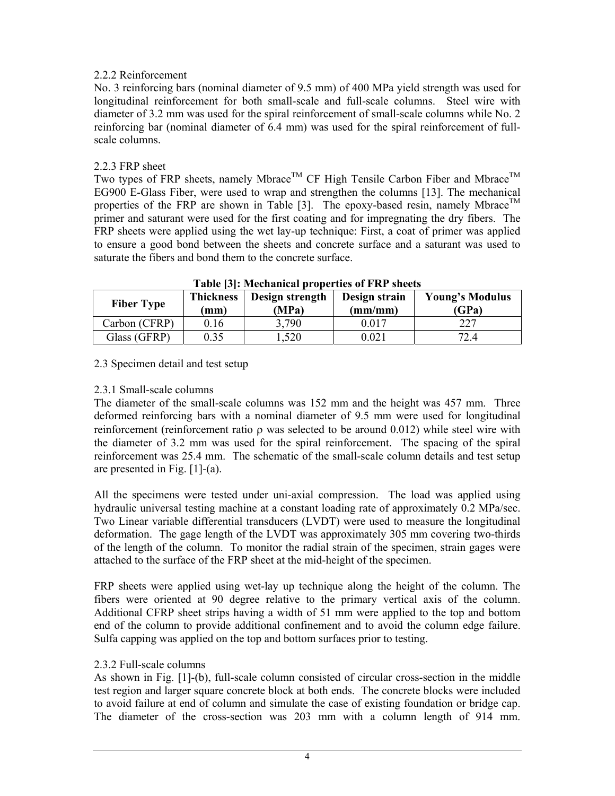# 2.2.2 Reinforcement

No. 3 reinforcing bars (nominal diameter of 9.5 mm) of 400 MPa yield strength was used for longitudinal reinforcement for both small-scale and full-scale columns. Steel wire with diameter of 3.2 mm was used for the spiral reinforcement of small-scale columns while No. 2 reinforcing bar (nominal diameter of 6.4 mm) was used for the spiral reinforcement of fullscale columns.

## 2.2.3 FRP sheet

Two types of FRP sheets, namely Mbrace<sup>TM</sup> CF High Tensile Carbon Fiber and Mbrace<sup>TM</sup> EG900 E-Glass Fiber, were used to wrap and strengthen the columns [13]. The mechanical properties of the FRP are shown in Table [3]. The epoxy-based resin, namely Mbrace<sup>TM</sup> primer and saturant were used for the first coating and for impregnating the dry fibers. The FRP sheets were applied using the wet lay-up technique: First, a coat of primer was applied to ensure a good bond between the sheets and concrete surface and a saturant was used to saturate the fibers and bond them to the concrete surface.

| <b>Fiber Type</b> | <b>Thickness</b><br>(mm) | <b>Table pl. Meetianical properties of FIXI</b> succes<br>Design strength<br>(MPa) | Design strain<br>(mm/mm) | <b>Young's Modulus</b><br>(GPa) |
|-------------------|--------------------------|------------------------------------------------------------------------------------|--------------------------|---------------------------------|
| Carbon (CFRP)     | 0.16                     | 3,790                                                                              | 0.017                    | 227                             |
| Glass (GFRP)      | ).35                     | .520                                                                               | 0.021                    | 72.4                            |

**Table [3]: Mechanical properties of FRP sheets** 

## 2.3 Specimen detail and test setup

# 2.3.1 Small-scale columns

The diameter of the small-scale columns was 152 mm and the height was 457 mm. Three deformed reinforcing bars with a nominal diameter of 9.5 mm were used for longitudinal reinforcement (reinforcement ratio ρ was selected to be around 0.012) while steel wire with the diameter of 3.2 mm was used for the spiral reinforcement. The spacing of the spiral reinforcement was 25.4 mm. The schematic of the small-scale column details and test setup are presented in Fig. [1]-(a).

All the specimens were tested under uni-axial compression. The load was applied using hydraulic universal testing machine at a constant loading rate of approximately 0.2 MPa/sec. Two Linear variable differential transducers (LVDT) were used to measure the longitudinal deformation. The gage length of the LVDT was approximately 305 mm covering two-thirds of the length of the column. To monitor the radial strain of the specimen, strain gages were attached to the surface of the FRP sheet at the mid-height of the specimen.

FRP sheets were applied using wet-lay up technique along the height of the column. The fibers were oriented at 90 degree relative to the primary vertical axis of the column. Additional CFRP sheet strips having a width of 51 mm were applied to the top and bottom end of the column to provide additional confinement and to avoid the column edge failure. Sulfa capping was applied on the top and bottom surfaces prior to testing.

## 2.3.2 Full-scale columns

As shown in Fig. [1]-(b), full-scale column consisted of circular cross-section in the middle test region and larger square concrete block at both ends. The concrete blocks were included to avoid failure at end of column and simulate the case of existing foundation or bridge cap. The diameter of the cross-section was 203 mm with a column length of 914 mm.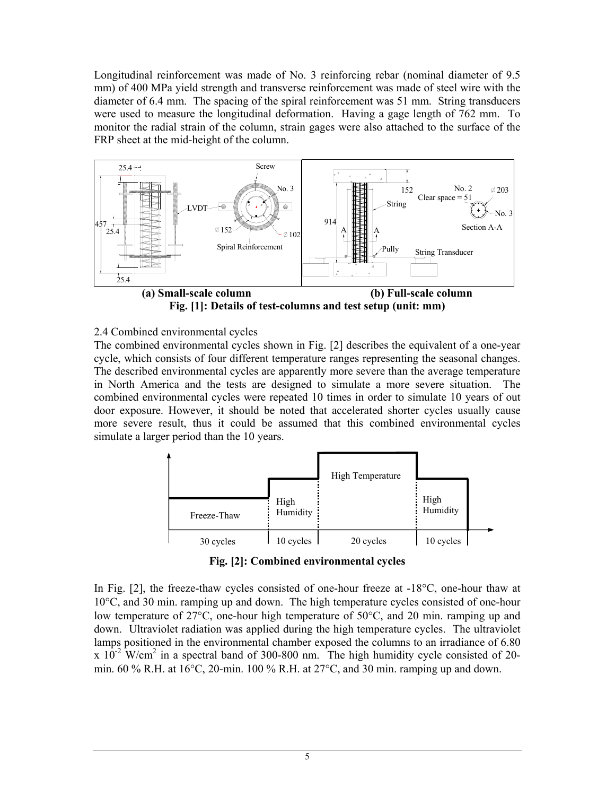Longitudinal reinforcement was made of No. 3 reinforcing rebar (nominal diameter of 9.5 mm) of 400 MPa yield strength and transverse reinforcement was made of steel wire with the diameter of 6.4 mm. The spacing of the spiral reinforcement was 51 mm. String transducers were used to measure the longitudinal deformation. Having a gage length of 762 mm. To monitor the radial strain of the column, strain gages were also attached to the surface of the FRP sheet at the mid-height of the column.



**Fig. [1]: Details of test-columns and test setup (unit: mm)**

## 2.4 Combined environmental cycles

The combined environmental cycles shown in Fig. [2] describes the equivalent of a one-year cycle, which consists of four different temperature ranges representing the seasonal changes. The described environmental cycles are apparently more severe than the average temperature in North America and the tests are designed to simulate a more severe situation. The combined environmental cycles were repeated 10 times in order to simulate 10 years of out door exposure. However, it should be noted that accelerated shorter cycles usually cause more severe result, thus it could be assumed that this combined environmental cycles simulate a larger period than the 10 years.



**Fig. [2]: Combined environmental cycles** 

In Fig. [2], the freeze-thaw cycles consisted of one-hour freeze at -18°C, one-hour thaw at 10°C, and 30 min. ramping up and down. The high temperature cycles consisted of one-hour low temperature of 27°C, one-hour high temperature of 50°C, and 20 min. ramping up and down. Ultraviolet radiation was applied during the high temperature cycles. The ultraviolet lamps positioned in the environmental chamber exposed the columns to an irradiance of 6.80 x  $10^{-2}$  W/cm<sup>2</sup> in a spectral band of 300-800 nm. The high humidity cycle consisted of 20min. 60 % R.H. at 16°C, 20-min. 100 % R.H. at 27°C, and 30 min. ramping up and down.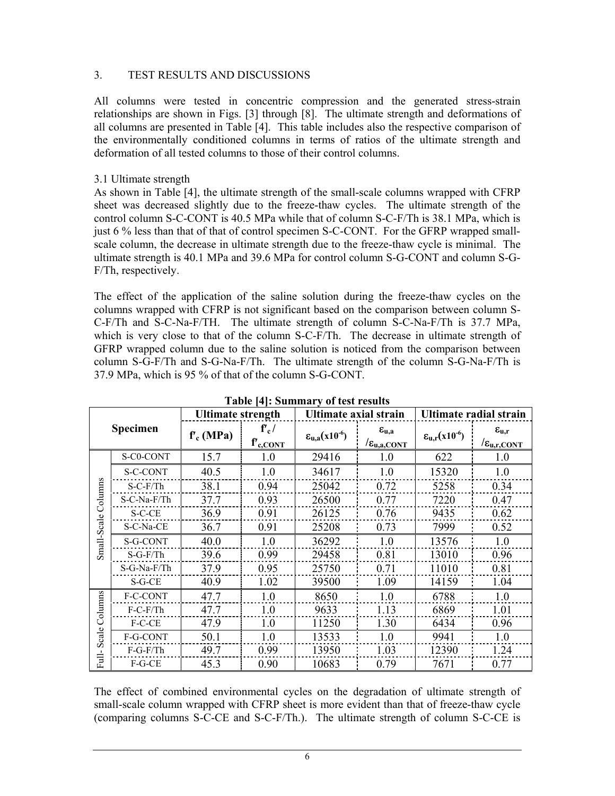#### 3. TEST RESULTS AND DISCUSSIONS

All columns were tested in concentric compression and the generated stress-strain relationships are shown in Figs. [3] through [8]. The ultimate strength and deformations of all columns are presented in Table [4]. This table includes also the respective comparison of the environmentally conditioned columns in terms of ratios of the ultimate strength and deformation of all tested columns to those of their control columns.

#### 3.1 Ultimate strength

As shown in Table [4], the ultimate strength of the small-scale columns wrapped with CFRP sheet was decreased slightly due to the freeze-thaw cycles. The ultimate strength of the control column S-C-CONT is 40.5 MPa while that of column S-C-F/Th is 38.1 MPa, which is just 6 % less than that of that of control specimen S-C-CONT. For the GFRP wrapped smallscale column, the decrease in ultimate strength due to the freeze-thaw cycle is minimal. The ultimate strength is 40.1 MPa and 39.6 MPa for control column S-G-CONT and column S-G-F/Th, respectively.

The effect of the application of the saline solution during the freeze-thaw cycles on the columns wrapped with CFRP is not significant based on the comparison between column S-C-F/Th and S-C-Na-F/TH. The ultimate strength of column S-C-Na-F/Th is 37.7 MPa, which is very close to that of the column S-C-F/Th. The decrease in ultimate strength of GFRP wrapped column due to the saline solution is noticed from the comparison between column S-G-F/Th and S-G-Na-F/Th. The ultimate strength of the column S-G-Na-F/Th is 37.9 MPa, which is 95 % of that of the column S-G-CONT.

|             |             | <b>Ultimate strength</b> |                                   | Ultimate axial strain                     |                                                                | Ultimate radial strain     |                                                         |
|-------------|-------------|--------------------------|-----------------------------------|-------------------------------------------|----------------------------------------------------------------|----------------------------|---------------------------------------------------------|
|             | Specimen    | $f'_{c}$ (MPa)           | $f'_c/$<br>$f'$ <sub>c.CONT</sub> | $\epsilon_{\rm u,a}$ (x10 <sup>-6</sup> ) | $\epsilon_{\rm u,a}$<br>$\sqrt{\varepsilon_{\text{u,a,CONT}}}$ | $\epsilon_{u,r}(x10^{-6})$ | $\epsilon_{\rm u.r}$<br>$\sqrt{\varepsilon_{u,r,CONT}}$ |
|             | S-C0-CONT   | 15.7                     | 1.0                               | 29416                                     | 1.0                                                            | 622                        | 1.0                                                     |
|             | S-C-CONT    | 40.5                     | 1.0                               | 34617                                     | 1.0                                                            | 15320                      | 1.0                                                     |
| S           | $S-C-F/Th$  | 38.1                     | 0.94                              | 25042                                     | 0.72                                                           | 5258                       | 0.34                                                    |
| Column      | S-C-Na-F/Th | 37.7                     | 0.93                              | 26500                                     | 0.77                                                           | 7220                       | 0.47                                                    |
|             | S-C-CE      | 36.9                     | 0.91                              | 26125                                     | 0.76                                                           | 9435                       | 0.62                                                    |
|             | S-C-Na-CE   | 36.7                     | 0.91                              | 25208                                     | 0.73                                                           | 7999                       | 0.52                                                    |
| Small-Scale | S-G-CONT    | 40.0                     | 1.0                               | 36292                                     | 1.0                                                            | 13576                      | 1.0                                                     |
|             | $S-G-F/Th$  | 39.6                     | 0.99                              | 29458                                     | 0.81                                                           | 13010                      | 0.96                                                    |
|             | S-G-Na-F/Th | 37.9                     | 0.95                              | 25750                                     | 0.71                                                           | 11010                      | 0.81                                                    |
|             | S-G-CE      | 40.9                     | 1.02                              | 39500                                     | 1.09                                                           | 14159                      | 1.04                                                    |
|             | F-C-CONT    | 47.7                     | 1.0                               | 8650                                      | 1.0                                                            | 6788                       | 1.0                                                     |
| Columns     | $F-C-F/Th$  | 47.7                     | 1.0                               | 9633                                      | 1.13                                                           | 6869                       | 1.01                                                    |
|             | F-C-CE      | 47.9                     | 1.0                               | 11250                                     | 1.30                                                           | 6434                       | 0.96                                                    |
| Scale       | F-G-CONT    | 50.1                     | 1.0                               | 13533                                     | 1.0                                                            | 9941                       | 1.0                                                     |
|             | $F-G-F/Th$  | 49.7                     | 0.99                              | 13950                                     | 1.03                                                           | 12390                      | 1.24                                                    |
| Ē           | $F-G-CE$    | 45.3                     | 0.90                              | 10683                                     | 0.79                                                           | 7671                       | 0.77                                                    |

| Table [4]: Summary of test results |
|------------------------------------|
|------------------------------------|

The effect of combined environmental cycles on the degradation of ultimate strength of small-scale column wrapped with CFRP sheet is more evident than that of freeze-thaw cycle (comparing columns S-C-CE and S-C-F/Th.). The ultimate strength of column S-C-CE is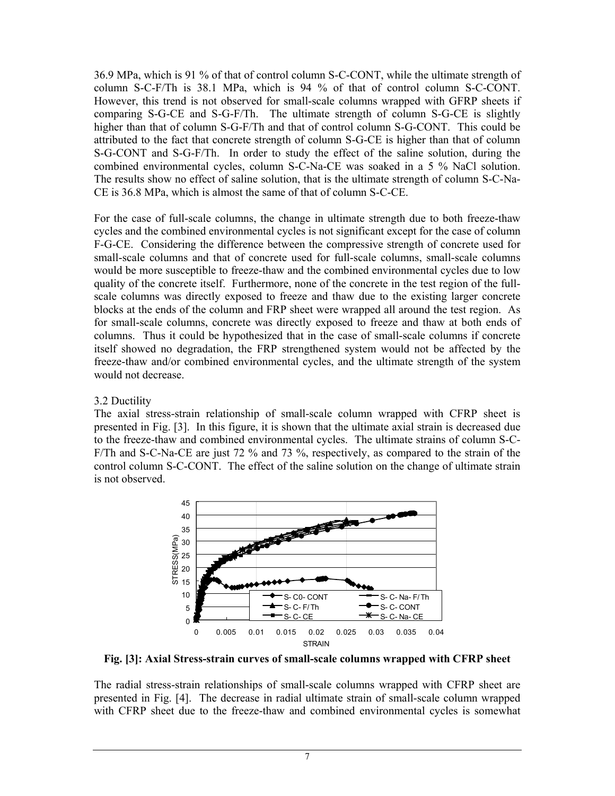36.9 MPa, which is 91 % of that of control column S-C-CONT, while the ultimate strength of column S-C-F/Th is 38.1 MPa, which is 94 % of that of control column S-C-CONT. However, this trend is not observed for small-scale columns wrapped with GFRP sheets if comparing S-G-CE and S-G-F/Th. The ultimate strength of column S-G-CE is slightly higher than that of column S-G-F/Th and that of control column S-G-CONT. This could be attributed to the fact that concrete strength of column S-G-CE is higher than that of column S-G-CONT and S-G-F/Th. In order to study the effect of the saline solution, during the combined environmental cycles, column S-C-Na-CE was soaked in a 5 % NaCl solution. The results show no effect of saline solution, that is the ultimate strength of column S-C-Na-CE is 36.8 MPa, which is almost the same of that of column S-C-CE.

For the case of full-scale columns, the change in ultimate strength due to both freeze-thaw cycles and the combined environmental cycles is not significant except for the case of column F-G-CE. Considering the difference between the compressive strength of concrete used for small-scale columns and that of concrete used for full-scale columns, small-scale columns would be more susceptible to freeze-thaw and the combined environmental cycles due to low quality of the concrete itself. Furthermore, none of the concrete in the test region of the fullscale columns was directly exposed to freeze and thaw due to the existing larger concrete blocks at the ends of the column and FRP sheet were wrapped all around the test region. As for small-scale columns, concrete was directly exposed to freeze and thaw at both ends of columns. Thus it could be hypothesized that in the case of small-scale columns if concrete itself showed no degradation, the FRP strengthened system would not be affected by the freeze-thaw and/or combined environmental cycles, and the ultimate strength of the system would not decrease.

#### 3.2 Ductility

The axial stress-strain relationship of small-scale column wrapped with CFRP sheet is presented in Fig. [3]. In this figure, it is shown that the ultimate axial strain is decreased due to the freeze-thaw and combined environmental cycles. The ultimate strains of column S-C-F/Th and S-C-Na-CE are just 72 % and 73 %, respectively, as compared to the strain of the control column S-C-CONT. The effect of the saline solution on the change of ultimate strain is not observed.



**Fig. [3]: Axial Stress-strain curves of small-scale columns wrapped with CFRP sheet** 

The radial stress-strain relationships of small-scale columns wrapped with CFRP sheet are presented in Fig. [4]. The decrease in radial ultimate strain of small-scale column wrapped with CFRP sheet due to the freeze-thaw and combined environmental cycles is somewhat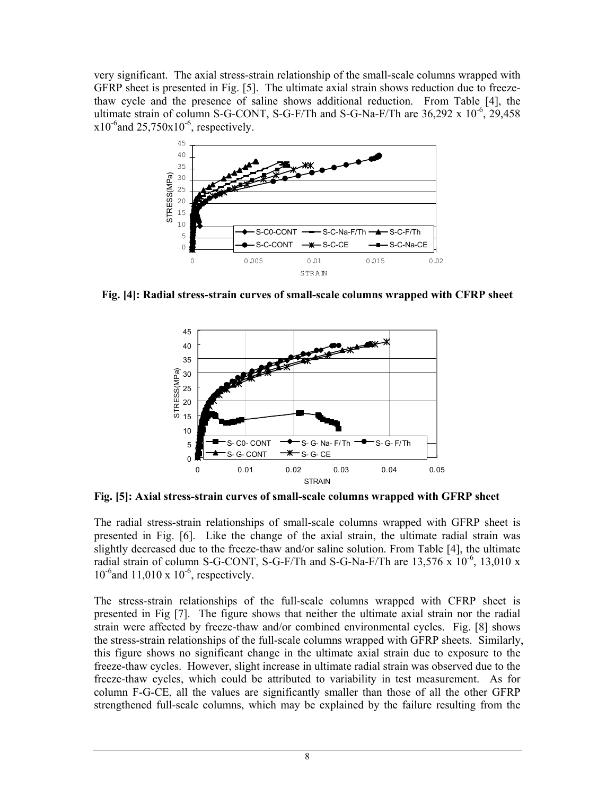very significant. The axial stress-strain relationship of the small-scale columns wrapped with GFRP sheet is presented in Fig. [5]. The ultimate axial strain shows reduction due to freezethaw cycle and the presence of saline shows additional reduction. From Table [4], the ultimate strain of column S-G-CONT, S-G-F/Th and S-G-Na-F/Th are  $36,292 \times 10^{-6}$ , 29,458  $x10^{-6}$ and  $25,750x10^{-6}$ , respectively.



**Fig. [4]: Radial stress-strain curves of small-scale columns wrapped with CFRP sheet**



**Fig. [5]: Axial stress-strain curves of small-scale columns wrapped with GFRP sheet** 

The radial stress-strain relationships of small-scale columns wrapped with GFRP sheet is presented in Fig. [6]. Like the change of the axial strain, the ultimate radial strain was slightly decreased due to the freeze-thaw and/or saline solution. From Table [4], the ultimate radial strain of column S-G-CONT, S-G-F/Th and S-G-Na-F/Th are  $13,576 \times 10^{-6}$ ,  $13,010 \times$  $10^{-6}$ and 11,010 x  $10^{-6}$ , respectively.

The stress-strain relationships of the full-scale columns wrapped with CFRP sheet is presented in Fig [7]. The figure shows that neither the ultimate axial strain nor the radial strain were affected by freeze-thaw and/or combined environmental cycles. Fig. [8] shows the stress-strain relationships of the full-scale columns wrapped with GFRP sheets. Similarly, this figure shows no significant change in the ultimate axial strain due to exposure to the freeze-thaw cycles. However, slight increase in ultimate radial strain was observed due to the freeze-thaw cycles, which could be attributed to variability in test measurement. As for column F-G-CE, all the values are significantly smaller than those of all the other GFRP strengthened full-scale columns, which may be explained by the failure resulting from the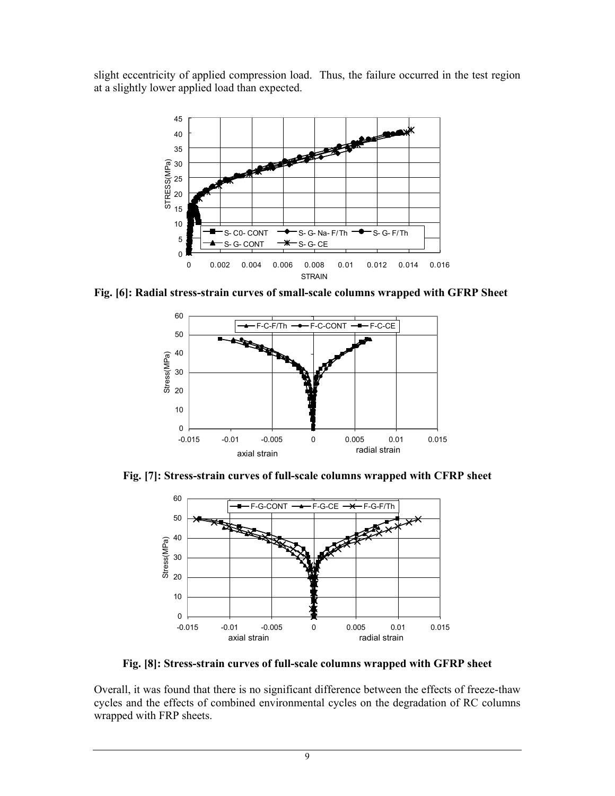slight eccentricity of applied compression load. Thus, the failure occurred in the test region at a slightly lower applied load than expected.



**Fig. [6]: Radial stress-strain curves of small-scale columns wrapped with GFRP Sheet**



**Fig. [7]: Stress-strain curves of full-scale columns wrapped with CFRP sheet**



**Fig. [8]: Stress-strain curves of full-scale columns wrapped with GFRP sheet**

Overall, it was found that there is no significant difference between the effects of freeze-thaw cycles and the effects of combined environmental cycles on the degradation of RC columns wrapped with FRP sheets.